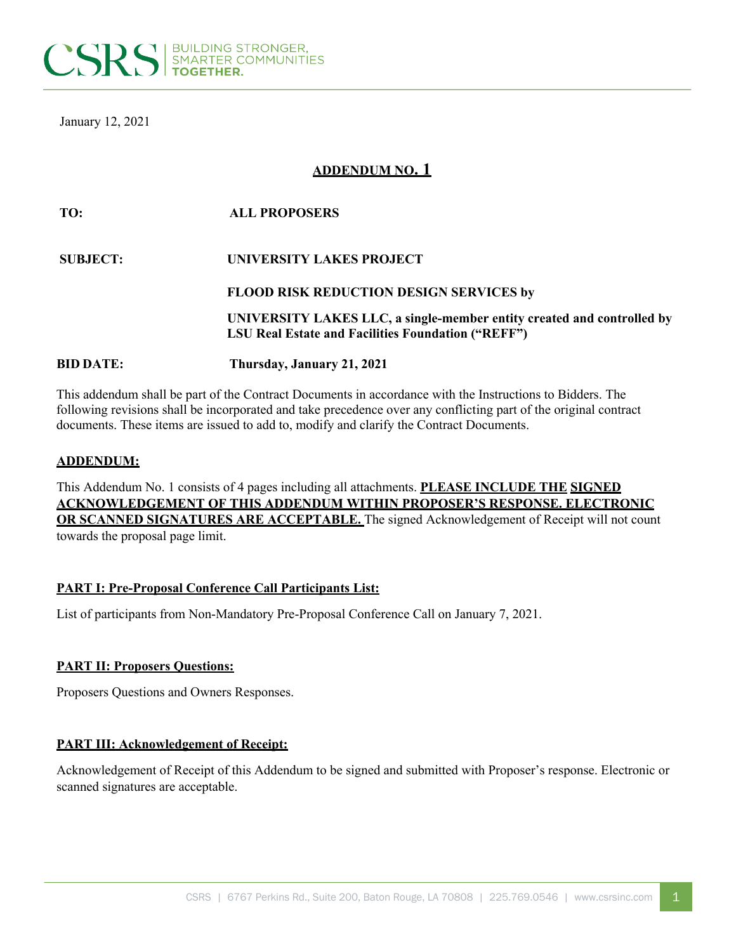

January 12, 2021

# **ADDENDUM NO. 1**

# **TO: ALL PROPOSERS SUBJECT: UNIVERSITY LAKES PROJECT FLOOD RISK REDUCTION DESIGN SERVICES by UNIVERSITY LAKES LLC, a single-member entity created and controlled by LSU Real Estate and Facilities Foundation ("REFF") BID DATE: Thursday, January 21, 2021**

This addendum shall be part of the Contract Documents in accordance with the Instructions to Bidders. The following revisions shall be incorporated and take precedence over any conflicting part of the original contract documents. These items are issued to add to, modify and clarify the Contract Documents.

#### **ADDENDUM:**

This Addendum No. 1 consists of 4 pages including all attachments. **PLEASE INCLUDE THE SIGNED ACKNOWLEDGEMENT OF THIS ADDENDUM WITHIN PROPOSER'S RESPONSE. ELECTRONIC OR SCANNED SIGNATURES ARE ACCEPTABLE.** The signed Acknowledgement of Receipt will not count towards the proposal page limit.

# **PART I: Pre-Proposal Conference Call Participants List:**

List of participants from Non-Mandatory Pre-Proposal Conference Call on January 7, 2021.

#### **PART II: Proposers Questions:**

Proposers Questions and Owners Responses.

# **PART III: Acknowledgement of Receipt:**

Acknowledgement of Receipt of this Addendum to be signed and submitted with Proposer's response. Electronic or scanned signatures are acceptable.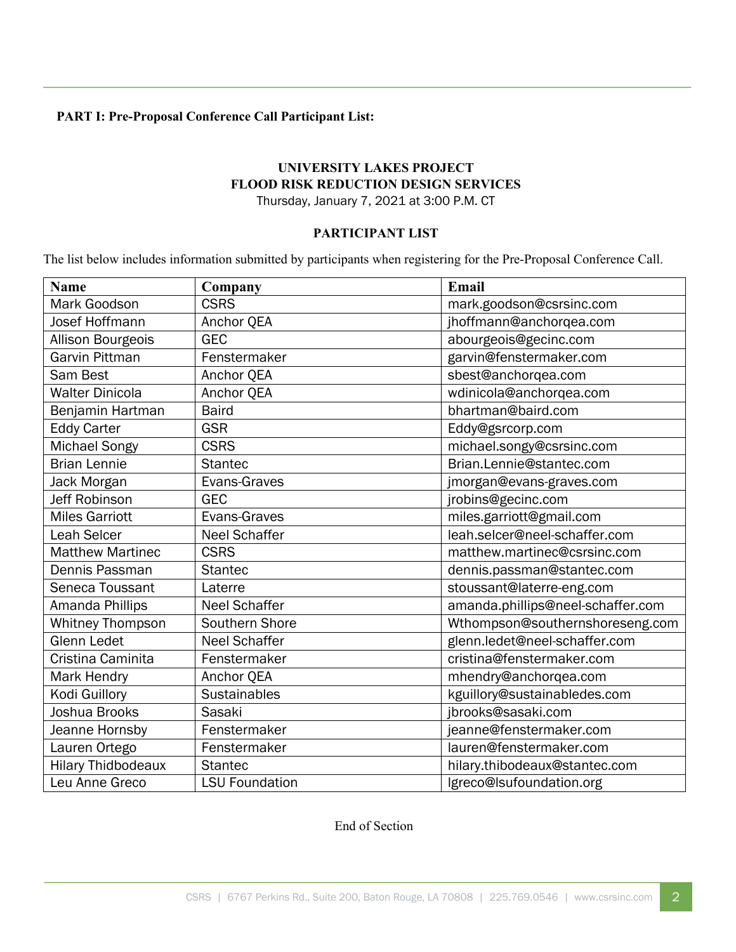# **PART I: Pre-Proposal Conference Call Participant List:**

# **UNIVERSITY LAKES PROJECT FLOOD RISK REDUCTION DESIGN SERVICES**

Thursday, January 7, 2021 at 3:00 P.M. CT

### **PARTICIPANT LIST**

The list below includes information submitted by participants when registering for the Pre-Proposal Conference Call.

| <b>Name</b>               | Company               | Email                             |
|---------------------------|-----------------------|-----------------------------------|
| Mark Goodson              | <b>CSRS</b>           | mark.goodson@csrsinc.com          |
| Josef Hoffmann            | Anchor QEA            | jhoffmann@anchorqea.com           |
| Allison Bourgeois         | <b>GEC</b>            | abourgeois@gecinc.com             |
| <b>Garvin Pittman</b>     | Fenstermaker          | garvin@fenstermaker.com           |
| Sam Best                  | Anchor QEA            | sbest@anchorqea.com               |
| <b>Walter Dinicola</b>    | Anchor QEA            | wdinicola@anchorqea.com           |
| Benjamin Hartman          | <b>Baird</b>          | bhartman@baird.com                |
| <b>Eddy Carter</b>        | <b>GSR</b>            | Eddy@gsrcorp.com                  |
| Michael Songy             | <b>CSRS</b>           | michael.songy@csrsinc.com         |
| <b>Brian Lennie</b>       | <b>Stantec</b>        | Brian.Lennie@stantec.com          |
| Jack Morgan               | Evans-Graves          | jmorgan@evans-graves.com          |
| Jeff Robinson             | <b>GEC</b>            | jrobins@gecinc.com                |
| <b>Miles Garriott</b>     | Evans-Graves          | miles.garriott@gmail.com          |
| Leah Selcer               | <b>Neel Schaffer</b>  | leah.selcer@neel-schaffer.com     |
| <b>Matthew Martinec</b>   | <b>CSRS</b>           | matthew.martinec@csrsinc.com      |
| Dennis Passman            | <b>Stantec</b>        | dennis.passman@stantec.com        |
| Seneca Toussant           | Laterre               | stoussant@laterre-eng.com         |
| Amanda Phillips           | <b>Neel Schaffer</b>  | amanda.phillips@neel-schaffer.com |
| <b>Whitney Thompson</b>   | Southern Shore        | Wthompson@southernshoreseng.com   |
| <b>Glenn Ledet</b>        | <b>Neel Schaffer</b>  | glenn.ledet@neel-schaffer.com     |
| Cristina Caminita         | Fenstermaker          | cristina@fenstermaker.com         |
| Mark Hendry               | Anchor QEA            | mhendry@anchorqea.com             |
| Kodi Guillory             | <b>Sustainables</b>   | kguillory@sustainabledes.com      |
| Joshua Brooks             | Sasaki                | jbrooks@sasaki.com                |
| Jeanne Hornsby            | Fenstermaker          | jeanne@fenstermaker.com           |
| Lauren Ortego             | Fenstermaker          | lauren@fenstermaker.com           |
| <b>Hilary Thidbodeaux</b> | <b>Stantec</b>        | hilary.thibodeaux@stantec.com     |
| Leu Anne Greco            | <b>LSU Foundation</b> | lgreco@lsufoundation.org          |

End of Section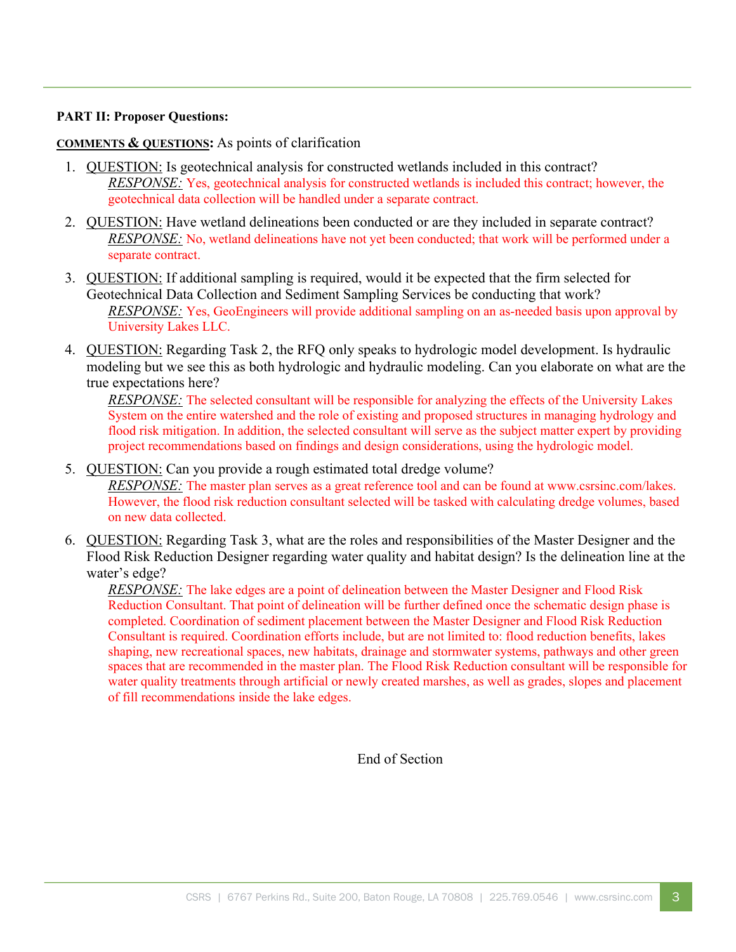### **PART II: Proposer Questions:**

### **COMMENTS & QUESTIONS:** As points of clarification

- 1. QUESTION: Is geotechnical analysis for constructed wetlands included in this contract? *RESPONSE:* Yes, geotechnical analysis for constructed wetlands is included this contract; however, the geotechnical data collection will be handled under a separate contract.
- 2. QUESTION: Have wetland delineations been conducted or are they included in separate contract? *RESPONSE:* No, wetland delineations have not yet been conducted; that work will be performed under a separate contract.
- 3. QUESTION: If additional sampling is required, would it be expected that the firm selected for Geotechnical Data Collection and Sediment Sampling Services be conducting that work? *RESPONSE:* Yes, GeoEngineers will provide additional sampling on an as-needed basis upon approval by University Lakes LLC.
- 4. QUESTION: Regarding Task 2, the RFQ only speaks to hydrologic model development. Is hydraulic modeling but we see this as both hydrologic and hydraulic modeling. Can you elaborate on what are the true expectations here?

*RESPONSE:* The selected consultant will be responsible for analyzing the effects of the University Lakes System on the entire watershed and the role of existing and proposed structures in managing hydrology and flood risk mitigation. In addition, the selected consultant will serve as the subject matter expert by providing project recommendations based on findings and design considerations, using the hydrologic model.

- 5. QUESTION: Can you provide a rough estimated total dredge volume? *RESPONSE:* The master plan serves as a great reference tool and can be found at www.csrsinc.com/lakes. However, the flood risk reduction consultant selected will be tasked with calculating dredge volumes, based on new data collected.
- 6. QUESTION: Regarding Task 3, what are the roles and responsibilities of the Master Designer and the Flood Risk Reduction Designer regarding water quality and habitat design? Is the delineation line at the water's edge?

*RESPONSE:* The lake edges are a point of delineation between the Master Designer and Flood Risk Reduction Consultant. That point of delineation will be further defined once the schematic design phase is completed. Coordination of sediment placement between the Master Designer and Flood Risk Reduction Consultant is required. Coordination efforts include, but are not limited to: flood reduction benefits, lakes shaping, new recreational spaces, new habitats, drainage and stormwater systems, pathways and other green spaces that are recommended in the master plan. The Flood Risk Reduction consultant will be responsible for water quality treatments through artificial or newly created marshes, as well as grades, slopes and placement of fill recommendations inside the lake edges.

End of Section